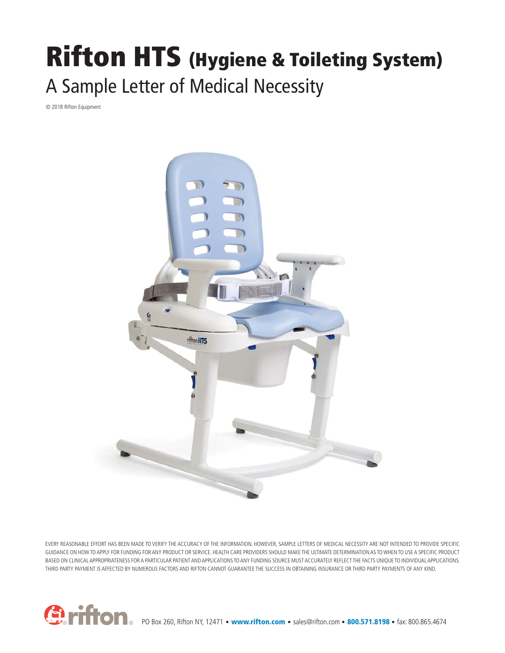## **Rifton HTS (Hygiene & Toileting System)** A Sample Letter of Medical Necessity

© 2018 Rifton Equipment



EVERY REASONABLE EFFORT HAS BEEN MADE TO VERIFY THE ACCURACY OF THE INFORMATION. HOWEVER, SAMPLE LETTERS OF MEDICAL NECESSITY ARE NOT INTENDED TO PROVIDE SPECIFIC GUIDANCE ON HOW TO APPLY FOR FUNDING FOR ANY PRODUCT OR SERVICE. HEALTH CARE PROVIDERS SHOULD MAKE THE ULTIMATE DETERMINATION AS TO WHEN TO USE A SPECIFIC PRODUCT BASED ON CLINICAL APPROPRIATENESS FOR A PARTICULAR PATIENT AND APPLICATIONS TO ANY FUNDING SOURCE MUST ACCURATELY REFLECT THE FACTS UNIQUE TO INDIVIDUAL APPLICATIONS. THIRD PARTY PAYMENT IS AFFECTED BY NUMEROUS FACTORS AND RIFTON CANNOT GUARANTEE THE SUCCESS IN OBTAINING INSURANCE OR THIRD PARTY PAYMENTS OF ANY KIND.



PO Box 260, Rifton NY, 12471 • **www.rifton.com** • sales@rifton.com • **800.571.8198** • fax: 800.865.4674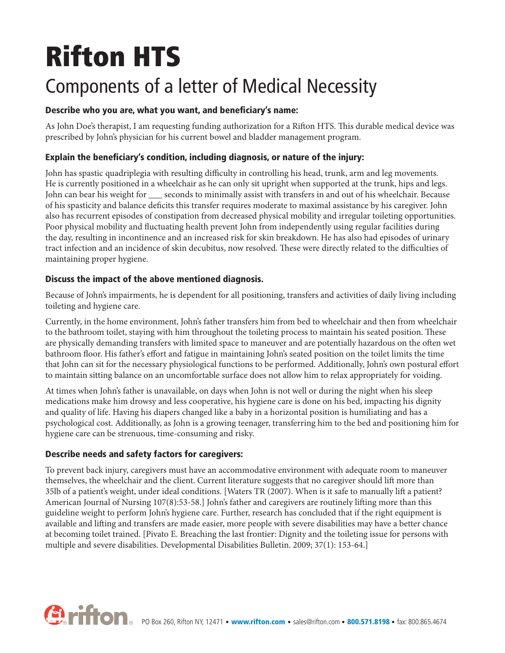# **Rifton HTS**

### Components of a letter of Medical Necessity

#### **Describe who you are, what you want, and beneficiary's name:**

As John Doe's therapist, I am requesting funding authorization for a Rifton HTS. This durable medical device was prescribed by John's physician for his current bowel and bladder management program.

#### **Explain the beneficiary's condition, including diagnosis, or nature of the injury:**

John has spastic quadriplegia with resulting difficulty in controlling his head, trunk, arm and leg movements. He is currently positioned in a wheelchair as he can only sit upright when supported at the trunk, hips and legs. John can bear his weight for seconds to minimally assist with transfers in and out of his wheelchair. Because of his spasticity and balance deficits this transfer requires moderate to maximal assistance by his caregiver. John also has recurrent episodes of constipation from decreased physical mobility and irregular toileting opportunities. Poor physical mobility and fluctuating health prevent John from independently using regular facilities during the day, resulting in incontinence and an increased risk for skin breakdown. He has also had episodes of urinary tract infection and an incidence of skin decubitus, now resolved. These were directly related to the difficulties of maintaining proper hygiene.

#### **Discuss the impact of the above mentioned diagnosis.**

Because of John's impairments, he is dependent for all positioning, transfers and activities of daily living including toileting and hygiene care.

Currently, in the home environment, John's father transfers him from bed to wheelchair and then from wheelchair to the bathroom toilet, staying with him throughout the toileting process to maintain his seated position. These are physically demanding transfers with limited space to maneuver and are potentially hazardous on the often wet bathroom floor. His father's effort and fatigue in maintaining John's seated position on the toilet limits the time that John can sit for the necessary physiological functions to be performed. Additionally, John's own postural effort to maintain sitting balance on an uncomfortable surface does not allow him to relax appropriately for voiding.

At times when John's father is unavailable, on days when John is not well or during the night when his sleep medications make him drowsy and less cooperative, his hygiene care is done on his bed, impacting his dignity and quality of life. Having his diapers changed like a baby in a horizontal position is humiliating and has a psychological cost. Additionally, as John is a growing teenager, transferring him to the bed and positioning him for hygiene care can be strenuous, time-consuming and risky.

#### **Describe needs and safety factors for caregivers:**

To prevent back injury, caregivers must have an accommodative environment with adequate room to maneuver themselves, the wheelchair and the client. Current literature suggests that no caregiver should lift more than 35lb of a patient's weight, under ideal conditions. [Waters TR (2007). When is it safe to manually lift a patient? American Journal of Nursing 107(8):53-58.] John's father and caregivers are routinely lifting more than this guideline weight to perform John's hygiene care. Further, research has concluded that if the right equipment is available and lifting and transfers are made easier, more people with severe disabilities may have a better chance at becoming toilet trained. [Pivato E. Breaching the last frontier: Dignity and the toileting issue for persons with multiple and severe disabilities. Developmental Disabilities Bulletin. 2009; 37(1): 153-64.]

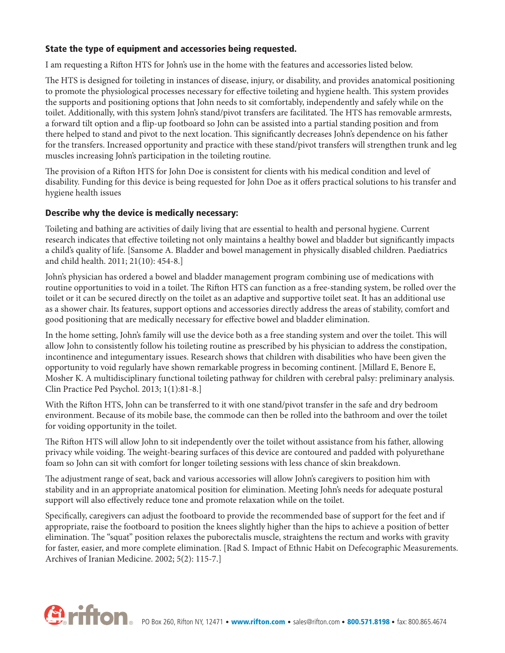#### **State the type of equipment and accessories being requested.**

I am requesting a Rifton HTS for John's use in the home with the features and accessories listed below.

The HTS is designed for toileting in instances of disease, injury, or disability, and provides anatomical positioning to promote the physiological processes necessary for effective toileting and hygiene health. This system provides the supports and positioning options that John needs to sit comfortably, independently and safely while on the toilet. Additionally, with this system John's stand/pivot transfers are facilitated. The HTS has removable armrests, a forward tilt option and a flip-up footboard so John can be assisted into a partial standing position and from there helped to stand and pivot to the next location. This significantly decreases John's dependence on his father for the transfers. Increased opportunity and practice with these stand/pivot transfers will strengthen trunk and leg muscles increasing John's participation in the toileting routine.

The provision of a Rifton HTS for John Doe is consistent for clients with his medical condition and level of disability. Funding for this device is being requested for John Doe as it offers practical solutions to his transfer and hygiene health issues

#### **Describe why the device is medically necessary:**

Toileting and bathing are activities of daily living that are essential to health and personal hygiene. Current research indicates that effective toileting not only maintains a healthy bowel and bladder but significantly impacts a child's quality of life. [Sansome A. Bladder and bowel management in physically disabled children. Paediatrics and child health. 2011; 21(10): 454-8.]

John's physician has ordered a bowel and bladder management program combining use of medications with routine opportunities to void in a toilet. The Rifton HTS can function as a free-standing system, be rolled over the toilet or it can be secured directly on the toilet as an adaptive and supportive toilet seat. It has an additional use as a shower chair. Its features, support options and accessories directly address the areas of stability, comfort and good positioning that are medically necessary for effective bowel and bladder elimination.

In the home setting, John's family will use the device both as a free standing system and over the toilet. This will allow John to consistently follow his toileting routine as prescribed by his physician to address the constipation, incontinence and integumentary issues. Research shows that children with disabilities who have been given the opportunity to void regularly have shown remarkable progress in becoming continent. [Millard E, Benore E, Mosher K. A multidisciplinary functional toileting pathway for children with cerebral palsy: preliminary analysis. Clin Practice Ped Psychol. 2013; 1(1):81-8.]

With the Rifton HTS, John can be transferred to it with one stand/pivot transfer in the safe and dry bedroom environment. Because of its mobile base, the commode can then be rolled into the bathroom and over the toilet for voiding opportunity in the toilet.

The Rifton HTS will allow John to sit independently over the toilet without assistance from his father, allowing privacy while voiding. The weight-bearing surfaces of this device are contoured and padded with polyurethane foam so John can sit with comfort for longer toileting sessions with less chance of skin breakdown.

The adjustment range of seat, back and various accessories will allow John's caregivers to position him with stability and in an appropriate anatomical position for elimination. Meeting John's needs for adequate postural support will also effectively reduce tone and promote relaxation while on the toilet.

Specifically, caregivers can adjust the footboard to provide the recommended base of support for the feet and if appropriate, raise the footboard to position the knees slightly higher than the hips to achieve a position of better elimination. The "squat" position relaxes the puborectalis muscle, straightens the rectum and works with gravity for faster, easier, and more complete elimination. [Rad S. Impact of Ethnic Habit on Defecographic Measurements. Archives of Iranian Medicine. 2002; 5(2): 115-7.]

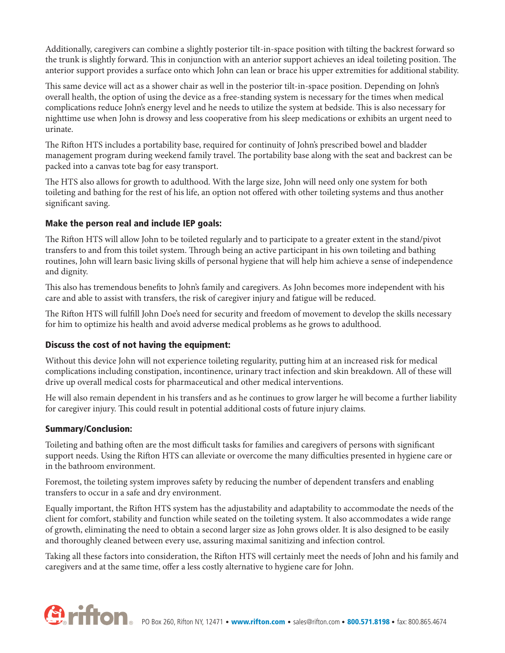Additionally, caregivers can combine a slightly posterior tilt-in-space position with tilting the backrest forward so the trunk is slightly forward. This in conjunction with an anterior support achieves an ideal toileting position. The anterior support provides a surface onto which John can lean or brace his upper extremities for additional stability.

This same device will act as a shower chair as well in the posterior tilt-in-space position. Depending on John's overall health, the option of using the device as a free-standing system is necessary for the times when medical complications reduce John's energy level and he needs to utilize the system at bedside. This is also necessary for nighttime use when John is drowsy and less cooperative from his sleep medications or exhibits an urgent need to urinate.

The Rifton HTS includes a portability base, required for continuity of John's prescribed bowel and bladder management program during weekend family travel. The portability base along with the seat and backrest can be packed into a canvas tote bag for easy transport.

The HTS also allows for growth to adulthood. With the large size, John will need only one system for both toileting and bathing for the rest of his life, an option not offered with other toileting systems and thus another significant saving.

#### **Make the person real and include IEP goals:**

The Rifton HTS will allow John to be toileted regularly and to participate to a greater extent in the stand/pivot transfers to and from this toilet system. Through being an active participant in his own toileting and bathing routines, John will learn basic living skills of personal hygiene that will help him achieve a sense of independence and dignity.

This also has tremendous benefits to John's family and caregivers. As John becomes more independent with his care and able to assist with transfers, the risk of caregiver injury and fatigue will be reduced.

The Rifton HTS will fulfill John Doe's need for security and freedom of movement to develop the skills necessary for him to optimize his health and avoid adverse medical problems as he grows to adulthood.

#### **Discuss the cost of not having the equipment:**

Without this device John will not experience toileting regularity, putting him at an increased risk for medical complications including constipation, incontinence, urinary tract infection and skin breakdown. All of these will drive up overall medical costs for pharmaceutical and other medical interventions.

He will also remain dependent in his transfers and as he continues to grow larger he will become a further liability for caregiver injury. This could result in potential additional costs of future injury claims.

#### **Summary/Conclusion:**

Toileting and bathing often are the most difficult tasks for families and caregivers of persons with significant support needs. Using the Rifton HTS can alleviate or overcome the many difficulties presented in hygiene care or in the bathroom environment.

Foremost, the toileting system improves safety by reducing the number of dependent transfers and enabling transfers to occur in a safe and dry environment.

Equally important, the Rifton HTS system has the adjustability and adaptability to accommodate the needs of the client for comfort, stability and function while seated on the toileting system. It also accommodates a wide range of growth, eliminating the need to obtain a second larger size as John grows older. It is also designed to be easily and thoroughly cleaned between every use, assuring maximal sanitizing and infection control.

Taking all these factors into consideration, the Rifton HTS will certainly meet the needs of John and his family and caregivers and at the same time, offer a less costly alternative to hygiene care for John.

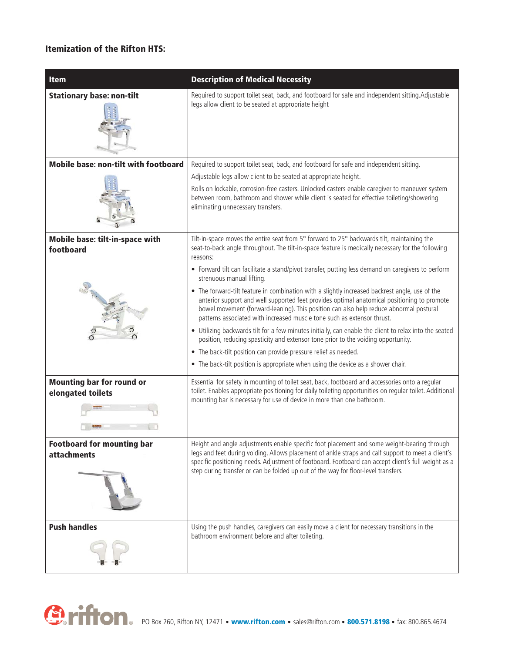#### **Itemization of the Rifton HTS:**

| <b>Item</b>                                           | <b>Description of Medical Necessity</b>                                                                                                                                                                                                                                                                                                                                                                                                                                      |
|-------------------------------------------------------|------------------------------------------------------------------------------------------------------------------------------------------------------------------------------------------------------------------------------------------------------------------------------------------------------------------------------------------------------------------------------------------------------------------------------------------------------------------------------|
| <b>Stationary base: non-tilt</b>                      | Required to support toilet seat, back, and footboard for safe and independent sitting. Adjustable<br>legs allow client to be seated at appropriate height                                                                                                                                                                                                                                                                                                                    |
| <b>Mobile base: non-tilt with footboard</b>           | Required to support toilet seat, back, and footboard for safe and independent sitting.                                                                                                                                                                                                                                                                                                                                                                                       |
|                                                       | Adjustable legs allow client to be seated at appropriate height.                                                                                                                                                                                                                                                                                                                                                                                                             |
|                                                       | Rolls on lockable, corrosion-free casters. Unlocked casters enable caregiver to maneuver system<br>between room, bathroom and shower while client is seated for effective toileting/showering<br>eliminating unnecessary transfers.                                                                                                                                                                                                                                          |
| Mobile base: tilt-in-space with<br>footboard          | Tilt-in-space moves the entire seat from 5° forward to 25° backwards tilt, maintaining the<br>seat-to-back angle throughout. The tilt-in-space feature is medically necessary for the following<br>reasons:                                                                                                                                                                                                                                                                  |
|                                                       | • Forward tilt can facilitate a stand/pivot transfer, putting less demand on caregivers to perform<br>strenuous manual lifting.                                                                                                                                                                                                                                                                                                                                              |
|                                                       | • The forward-tilt feature in combination with a slightly increased backrest angle, use of the<br>anterior support and well supported feet provides optimal anatomical positioning to promote<br>bowel movement (forward-leaning). This position can also help reduce abnormal postural<br>patterns associated with increased muscle tone such as extensor thrust.<br>• Utilizing backwards tilt for a few minutes initially, can enable the client to relax into the seated |
|                                                       | position, reducing spasticity and extensor tone prior to the voiding opportunity.                                                                                                                                                                                                                                                                                                                                                                                            |
|                                                       | • The back-tilt position can provide pressure relief as needed.                                                                                                                                                                                                                                                                                                                                                                                                              |
|                                                       | • The back-tilt position is appropriate when using the device as a shower chair.                                                                                                                                                                                                                                                                                                                                                                                             |
| <b>Mounting bar for round or</b><br>elongated toilets | Essential for safety in mounting of toilet seat, back, footboard and accessories onto a regular<br>toilet. Enables appropriate positioning for daily toileting opportunities on regular toilet. Additional<br>mounting bar is necessary for use of device in more than one bathroom.                                                                                                                                                                                         |
| <b>Footboard for mounting bar</b>                     | Height and angle adjustments enable specific foot placement and some weight-bearing through                                                                                                                                                                                                                                                                                                                                                                                  |
| <b>attachments</b>                                    | legs and feet during voiding. Allows placement of ankle straps and calf support to meet a client's<br>specific positioning needs. Adjustment of footboard. Footboard can accept client's full weight as a<br>step during transfer or can be folded up out of the way for floor-level transfers.                                                                                                                                                                              |
| <b>Push handles</b>                                   | Using the push handles, caregivers can easily move a client for necessary transitions in the<br>bathroom environment before and after toileting.                                                                                                                                                                                                                                                                                                                             |

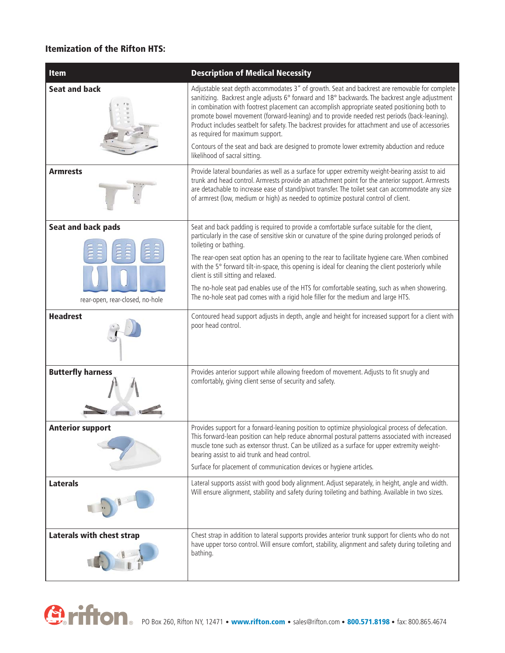#### **Itemization of the Rifton HTS:**

| <b>Item</b>                                                  | <b>Description of Medical Necessity</b>                                                                                                                                                                                                                                                                                                                                                                                                                                                                                                                                                                                                                                |
|--------------------------------------------------------------|------------------------------------------------------------------------------------------------------------------------------------------------------------------------------------------------------------------------------------------------------------------------------------------------------------------------------------------------------------------------------------------------------------------------------------------------------------------------------------------------------------------------------------------------------------------------------------------------------------------------------------------------------------------------|
| <b>Seat and back</b>                                         | Adjustable seat depth accommodates 3" of growth. Seat and backrest are removable for complete<br>sanitizing. Backrest angle adjusts 6° forward and 18° backwards. The backrest angle adjustment<br>in combination with footrest placement can accomplish appropriate seated positioning both to<br>promote bowel movement (forward-leaning) and to provide needed rest periods (back-leaning).<br>Product includes seatbelt for safety. The backrest provides for attachment and use of accessories<br>as required for maximum support.<br>Contours of the seat and back are designed to promote lower extremity abduction and reduce<br>likelihood of sacral sitting. |
| <b>Armrests</b>                                              | Provide lateral boundaries as well as a surface for upper extremity weight-bearing assist to aid<br>trunk and head control. Armrests provide an attachment point for the anterior support. Armrests<br>are detachable to increase ease of stand/pivot transfer. The toilet seat can accommodate any size<br>of armrest (low, medium or high) as needed to optimize postural control of client.                                                                                                                                                                                                                                                                         |
| <b>Seat and back pads</b><br>rear-open, rear-closed, no-hole | Seat and back padding is required to provide a comfortable surface suitable for the client,<br>particularly in the case of sensitive skin or curvature of the spine during prolonged periods of<br>toileting or bathing.<br>The rear-open seat option has an opening to the rear to facilitate hygiene care. When combined<br>with the 5° forward tilt-in-space, this opening is ideal for cleaning the client posteriorly while<br>client is still sitting and relaxed.<br>The no-hole seat pad enables use of the HTS for comfortable seating, such as when showering.<br>The no-hole seat pad comes with a rigid hole filler for the medium and large HTS.          |
| <b>Headrest</b>                                              | Contoured head support adjusts in depth, angle and height for increased support for a client with<br>poor head control.                                                                                                                                                                                                                                                                                                                                                                                                                                                                                                                                                |
| <b>Butterfly harness</b>                                     | Provides anterior support while allowing freedom of movement. Adjusts to fit snugly and<br>comfortably, giving client sense of security and safety.                                                                                                                                                                                                                                                                                                                                                                                                                                                                                                                    |
| <b>Anterior support</b>                                      | Provides support for a forward-leaning position to optimize physiological process of defecation.<br>This forward-lean position can help reduce abnormal postural patterns associated with increased<br>muscle tone such as extensor thrust. Can be utilized as a surface for upper extremity weight-<br>bearing assist to aid trunk and head control.<br>Surface for placement of communication devices or hygiene articles.                                                                                                                                                                                                                                           |
| <b>Laterals</b>                                              | Lateral supports assist with good body alignment. Adjust separately, in height, angle and width.<br>Will ensure alignment, stability and safety during toileting and bathing. Available in two sizes.                                                                                                                                                                                                                                                                                                                                                                                                                                                                  |
| <b>Laterals with chest strap</b>                             | Chest strap in addition to lateral supports provides anterior trunk support for clients who do not<br>have upper torso control. Will ensure comfort, stability, alignment and safety during toileting and<br>bathing.                                                                                                                                                                                                                                                                                                                                                                                                                                                  |

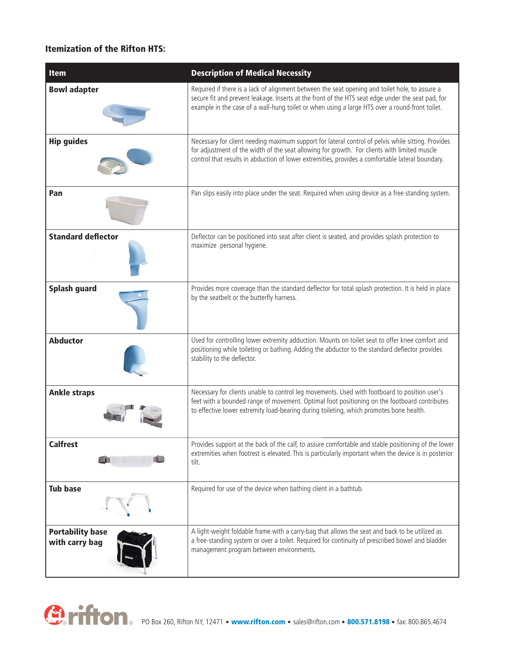#### **Itemization of the Rifton HTS:**

| <b>Item</b>                               | <b>Description of Medical Necessity</b>                                                                                                                                                                                                                                                                |
|-------------------------------------------|--------------------------------------------------------------------------------------------------------------------------------------------------------------------------------------------------------------------------------------------------------------------------------------------------------|
| <b>Bowl adapter</b>                       | Required if there is a lack of alignment between the seat opening and toilet hole, to assure a<br>secure fit and prevent leakage. Inserts at the front of the HTS seat edge under the seat pad, for<br>example in the case of a wall-hung toilet or when using a large HTS over a round-front toilet.  |
| <b>Hip guides</b>                         | Necessary for client needing maximum support for lateral control of pelvis while sitting. Provides<br>for adjustment of the width of the seat allowing for growth. For clients with limited muscle<br>control that results in abduction of lower extremities, provides a comfortable lateral boundary. |
| Pan                                       | Pan slips easily into place under the seat. Required when using device as a free standing system.                                                                                                                                                                                                      |
| <b>Standard deflector</b>                 | Deflector can be positioned into seat after client is seated, and provides splash protection to<br>maximize personal hygiene.                                                                                                                                                                          |
| <b>Splash guard</b>                       | Provides more coverage than the standard deflector for total splash protection. It is held in place<br>by the seatbelt or the butterfly harness.                                                                                                                                                       |
| <b>Abductor</b>                           | Used for controlling lower extremity adduction. Mounts on toilet seat to offer knee comfort and<br>positioning while toileting or bathing. Adding the abductor to the standard deflector provides<br>stability to the deflector.                                                                       |
| <b>Ankle straps</b>                       | Necessary for clients unable to control leg movements. Used with footboard to position user's<br>feet with a bounded range of movement. Optimal foot positioning on the footboard contributes<br>to effective lower extremity load-bearing during toileting, which promotes bone health.               |
| <b>Calfrest</b>                           | Provides support at the back of the calf, to assure comfortable and stable positioning of the lower<br>extremities when footrest is elevated. This is particularly important when the device is in posterior<br>tilt.                                                                                  |
| <b>Tub base</b>                           | Required for use of the device when bathing client in a bathtub.                                                                                                                                                                                                                                       |
| <b>Portability base</b><br>with carry bag | A light-weight foldable frame with a carry-bag that allows the seat and back to be utilized as<br>a free-standing system or over a toilet. Required for continuity of prescribed bowel and bladder<br>management program between environments.                                                         |